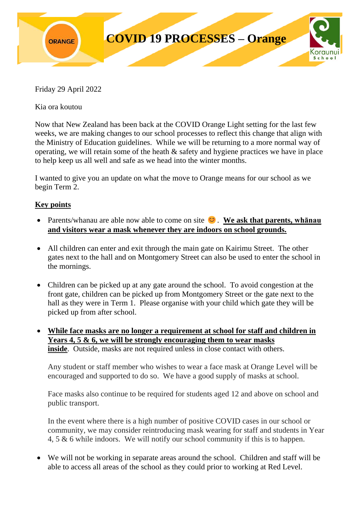

Friday 29 April 2022

Kia ora koutou

Now that New Zealand has been back at the COVID Orange Light setting for the last few weeks, we are making changes to our school processes to reflect this change that align with the Ministry of Education guidelines. While we will be returning to a more normal way of operating, we will retain some of the heath & safety and hygiene practices we have in place to help keep us all well and safe as we head into the winter months.

I wanted to give you an update on what the move to Orange means for our school as we begin Term 2.

## **Key points**

- Parents/whanau are able now able to come on site  $\heartsuit$ . We ask that parents, whanau **and visitors wear a mask whenever they are indoors on school grounds.**
- All children can enter and exit through the main gate on Kairimu Street. The other gates next to the hall and on Montgomery Street can also be used to enter the school in the mornings.
- Children can be picked up at any gate around the school. To avoid congestion at the front gate, children can be picked up from Montgomery Street or the gate next to the hall as they were in Term 1. Please organise with your child which gate they will be picked up from after school.
- **While face masks are no longer a requirement at school for staff and children in Years 4, 5 & 6, we will be strongly encouraging them to wear masks inside**. Outside, masks are not required unless in close contact with others.

Any student or staff member who wishes to wear a face mask at Orange Level will be encouraged and supported to do so. We have a good supply of masks at school.

Face masks also continue to be required for students aged 12 and above on school and public transport.

In the event where there is a high number of positive COVID cases in our school or community, we may consider reintroducing mask wearing for staff and students in Year 4, 5 & 6 while indoors. We will notify our school community if this is to happen.

• We will not be working in separate areas around the school. Children and staff will be able to access all areas of the school as they could prior to working at Red Level.